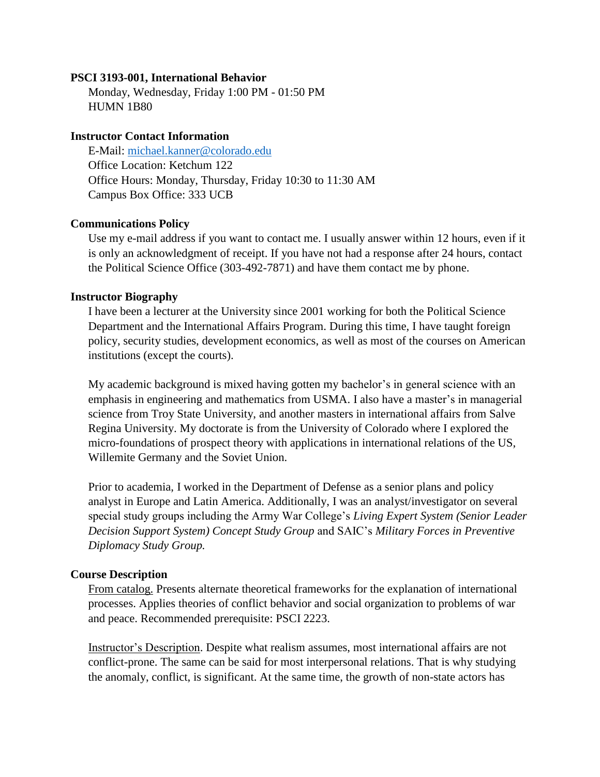### **PSCI 3193-001, International Behavior**

Monday, Wednesday, Friday 1:00 PM - 01:50 PM HUMN 1B80

### **Instructor Contact Information**

E-Mail: [michael.kanner@colorado.edu](mailto:michael.kanner@colorado.edu) Office Location: Ketchum 122 Office Hours: Monday, Thursday, Friday 10:30 to 11:30 AM Campus Box Office: 333 UCB

## **Communications Policy**

Use my e-mail address if you want to contact me. I usually answer within 12 hours, even if it is only an acknowledgment of receipt. If you have not had a response after 24 hours, contact the Political Science Office (303-492-7871) and have them contact me by phone.

## **Instructor Biography**

I have been a lecturer at the University since 2001 working for both the Political Science Department and the International Affairs Program. During this time, I have taught foreign policy, security studies, development economics, as well as most of the courses on American institutions (except the courts).

My academic background is mixed having gotten my bachelor's in general science with an emphasis in engineering and mathematics from USMA. I also have a master's in managerial science from Troy State University, and another masters in international affairs from Salve Regina University. My doctorate is from the University of Colorado where I explored the micro-foundations of prospect theory with applications in international relations of the US, Willemite Germany and the Soviet Union.

Prior to academia, I worked in the Department of Defense as a senior plans and policy analyst in Europe and Latin America. Additionally, I was an analyst/investigator on several special study groups including the Army War College's *Living Expert System (Senior Leader Decision Support System) Concept Study Group* and SAIC's *Military Forces in Preventive Diplomacy Study Group.*

## **Course Description**

From catalog. Presents alternate theoretical frameworks for the explanation of international processes. Applies theories of conflict behavior and social organization to problems of war and peace. Recommended prerequisite: PSCI 2223.

Instructor's Description. Despite what realism assumes, most international affairs are not conflict-prone. The same can be said for most interpersonal relations. That is why studying the anomaly, conflict, is significant. At the same time, the growth of non-state actors has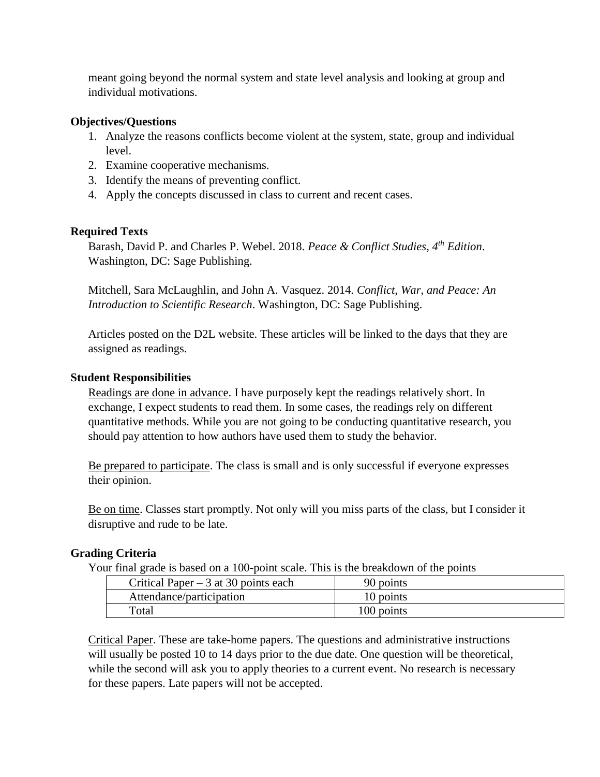meant going beyond the normal system and state level analysis and looking at group and individual motivations.

## **Objectives/Questions**

- 1. Analyze the reasons conflicts become violent at the system, state, group and individual level.
- 2. Examine cooperative mechanisms.
- 3. Identify the means of preventing conflict.
- 4. Apply the concepts discussed in class to current and recent cases.

# **Required Texts**

Barash, David P. and Charles P. Webel. 2018. *Peace & Conflict Studies, 4th Edition*. Washington, DC: Sage Publishing.

Mitchell, Sara McLaughlin, and John A. Vasquez. 2014. *Conflict, War, and Peace: An Introduction to Scientific Research*. Washington, DC: Sage Publishing.

Articles posted on the D2L website. These articles will be linked to the days that they are assigned as readings.

## **Student Responsibilities**

Readings are done in advance. I have purposely kept the readings relatively short. In exchange, I expect students to read them. In some cases, the readings rely on different quantitative methods. While you are not going to be conducting quantitative research, you should pay attention to how authors have used them to study the behavior.

Be prepared to participate. The class is small and is only successful if everyone expresses their opinion.

Be on time. Classes start promptly. Not only will you miss parts of the class, but I consider it disruptive and rude to be late.

# **Grading Criteria**

Your final grade is based on a 100-point scale. This is the breakdown of the points

| Critical Paper $-3$ at 30 points each | 90 points  |
|---------------------------------------|------------|
| Attendance/participation              | 10 points  |
| Total                                 | 100 points |

Critical Paper. These are take-home papers. The questions and administrative instructions will usually be posted 10 to 14 days prior to the due date. One question will be theoretical, while the second will ask you to apply theories to a current event. No research is necessary for these papers. Late papers will not be accepted.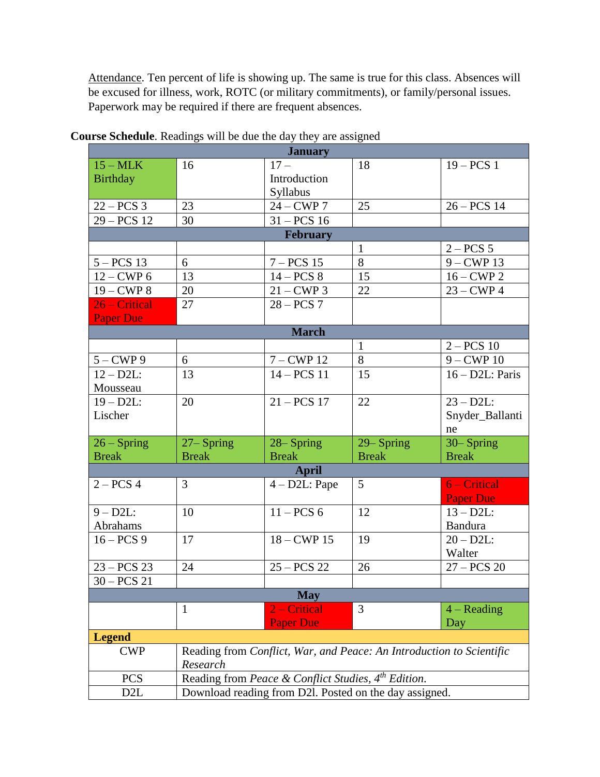Attendance. Ten percent of life is showing up. The same is true for this class. Absences will be excused for illness, work, ROTC (or military commitments), or family/personal issues. Paperwork may be required if there are frequent absences.

| <b>January</b>    |               |                                                                 |                                                                      |                    |  |  |
|-------------------|---------------|-----------------------------------------------------------------|----------------------------------------------------------------------|--------------------|--|--|
| $15 - \text{MLK}$ | 16            | $17 -$                                                          | 18                                                                   | $19 - PCS$ 1       |  |  |
| <b>Birthday</b>   |               | Introduction                                                    |                                                                      |                    |  |  |
|                   |               | Syllabus                                                        |                                                                      |                    |  |  |
| $22 - PCS$ 3      | 23            | $24 - CWP$ 7                                                    | 25                                                                   | $26 - PCS$ 14      |  |  |
| $29 - PCS$ 12     | 30            | $31 - PCS$ 16                                                   |                                                                      |                    |  |  |
| <b>February</b>   |               |                                                                 |                                                                      |                    |  |  |
|                   |               |                                                                 | $\mathbf{1}$                                                         | $2 - PCS$ 5        |  |  |
| $5 - PCS$ 13      | 6             | $7 - PCS$ 15                                                    | 8                                                                    | $9 - CWP$ 13       |  |  |
| $12 - CWP$ 6      | 13            | $14 - PCS$ 8                                                    | 15                                                                   | $16 - CWP2$        |  |  |
| $19 - CWP8$       | 20            | $21 - CWP3$                                                     | 22                                                                   | $23 - CWP4$        |  |  |
| 26 – Critical     | 27            | $28 - PCS$ 7                                                    |                                                                      |                    |  |  |
| <b>Paper Due</b>  |               |                                                                 |                                                                      |                    |  |  |
| <b>March</b>      |               |                                                                 |                                                                      |                    |  |  |
|                   |               |                                                                 | $\mathbf{1}$                                                         | $2 - PCS$ 10       |  |  |
| $5 - CWP9$        | 6             | $7 - CWP$ 12                                                    | 8                                                                    | $9 - CWP$ 10       |  |  |
| $12 - D2L$ :      | 13            | $14 - PCS$ 11                                                   | 15                                                                   | $16 - D2L$ : Paris |  |  |
| Mousseau          |               |                                                                 |                                                                      |                    |  |  |
| $19 - D2L$ :      | 20            | $21 - PCS$ 17                                                   | 22                                                                   | $23 - D2L$ :       |  |  |
| Lischer           |               |                                                                 |                                                                      | Snyder_Ballanti    |  |  |
|                   |               |                                                                 |                                                                      | ne                 |  |  |
| $26 - Spring$     | $27 -$ Spring | 28–Spring                                                       | 29–Spring                                                            | 30–Spring          |  |  |
| <b>Break</b>      | <b>Break</b>  | <b>Break</b>                                                    | <b>Break</b>                                                         | <b>Break</b>       |  |  |
|                   | <b>April</b>  |                                                                 |                                                                      |                    |  |  |
| $2 - PCS$ 4       | 3             | $4 - D2L$ : Pape                                                | 5                                                                    | 6 – Critical       |  |  |
|                   |               |                                                                 |                                                                      | <b>Paper Due</b>   |  |  |
| $9 - D2L$ :       | 10            | $11 - PCS$ 6                                                    | 12                                                                   | $13 - D2L$ :       |  |  |
| Abrahams          |               |                                                                 |                                                                      |                    |  |  |
|                   |               |                                                                 |                                                                      | <b>Bandura</b>     |  |  |
| $16 - PCS$ 9      | 17            | $18 - CWP$ 15                                                   | 19                                                                   | $20 - D2L$ :       |  |  |
|                   |               |                                                                 |                                                                      | Walter             |  |  |
| $23 - PCS$ 23     | 24            | $25 - PCS$ 22                                                   | 26                                                                   | $27 - PCS$ 20      |  |  |
| $30 - PCS$ 21     |               |                                                                 |                                                                      |                    |  |  |
|                   |               | <b>May</b>                                                      |                                                                      |                    |  |  |
|                   | $\mathbf{1}$  | 2 – Critical                                                    | 3                                                                    | $4 - Reading$      |  |  |
|                   |               | <b>Paper Due</b>                                                |                                                                      | Day                |  |  |
| <b>Legend</b>     |               |                                                                 |                                                                      |                    |  |  |
| <b>CWP</b>        |               |                                                                 | Reading from Conflict, War, and Peace: An Introduction to Scientific |                    |  |  |
|                   | Research      |                                                                 |                                                                      |                    |  |  |
| <b>PCS</b>        |               | Reading from Peace & Conflict Studies, 4 <sup>th</sup> Edition. |                                                                      |                    |  |  |

**Course Schedule**. Readings will be due the day they are assigned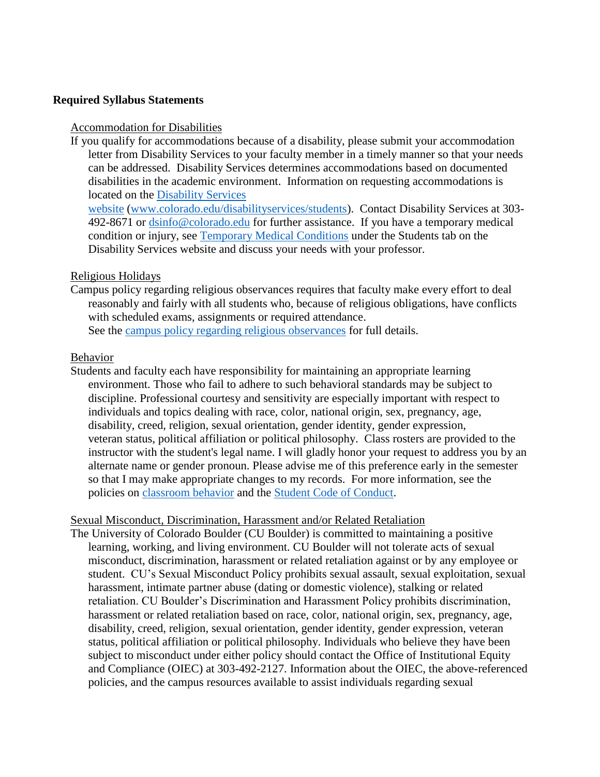### **Required Syllabus Statements**

#### Accommodation for Disabilities

If you qualify for accommodations because of a disability, please submit your accommodation letter from Disability Services to your faculty member in a timely manner so that your needs can be addressed. Disability Services determines accommodations based on documented disabilities in the academic environment. Information on requesting accommodations is located on the [Disability Services](http://www.colorado.edu/disabilityservices/students) 

[website](http://www.colorado.edu/disabilityservices/students) [\(www.colorado.edu/disabilityservices/students\)](http://www.colorado.edu/disabilityservices/students). Contact Disability Services at 303- 492-8671 or [dsinfo@colorado.edu](mailto:dsinfo@colorado.edu) for further assistance. If you have a temporary medical condition or injury, see [Temporary Medical Conditions](http://www.colorado.edu/disabilityservices/students/temporary-medical-conditions) under the Students tab on the Disability Services website and discuss your needs with your professor.

#### Religious Holidays

Campus policy regarding religious observances requires that faculty make every effort to deal reasonably and fairly with all students who, because of religious obligations, have conflicts with scheduled exams, assignments or required attendance. See the [campus policy regarding religious observances](http://www.colorado.edu/policies/observance-religious-holidays-and-absences-classes-andor-exams) for full details.

#### Behavior

Students and faculty each have responsibility for maintaining an appropriate learning environment. Those who fail to adhere to such behavioral standards may be subject to discipline. Professional courtesy and sensitivity are especially important with respect to individuals and topics dealing with race, color, national origin, sex, pregnancy, age, disability, creed, religion, sexual orientation, gender identity, gender expression, veteran status, political affiliation or political philosophy. Class rosters are provided to the instructor with the student's legal name. I will gladly honor your request to address you by an alternate name or gender pronoun. Please advise me of this preference early in the semester so that I may make appropriate changes to my records. For more information, see the policies on [classroom behavior](http://www.colorado.edu/policies/student-classroom-and-course-related-behavior) and the [Student Code of Conduct.](http://www.colorado.edu/osccr/)

### Sexual Misconduct, Discrimination, Harassment and/or Related Retaliation

The University of Colorado Boulder (CU Boulder) is committed to maintaining a positive learning, working, and living environment. CU Boulder will not tolerate acts of sexual misconduct, discrimination, harassment or related retaliation against or by any employee or student. CU's Sexual Misconduct Policy prohibits sexual assault, sexual exploitation, sexual harassment, intimate partner abuse (dating or domestic violence), stalking or related retaliation. CU Boulder's Discrimination and Harassment Policy prohibits discrimination, harassment or related retaliation based on race, color, national origin, sex, pregnancy, age, disability, creed, religion, sexual orientation, gender identity, gender expression, veteran status, political affiliation or political philosophy. Individuals who believe they have been subject to misconduct under either policy should contact the Office of Institutional Equity and Compliance (OIEC) at 303-492-2127. Information about the OIEC, the above-referenced policies, and the campus resources available to assist individuals regarding sexual